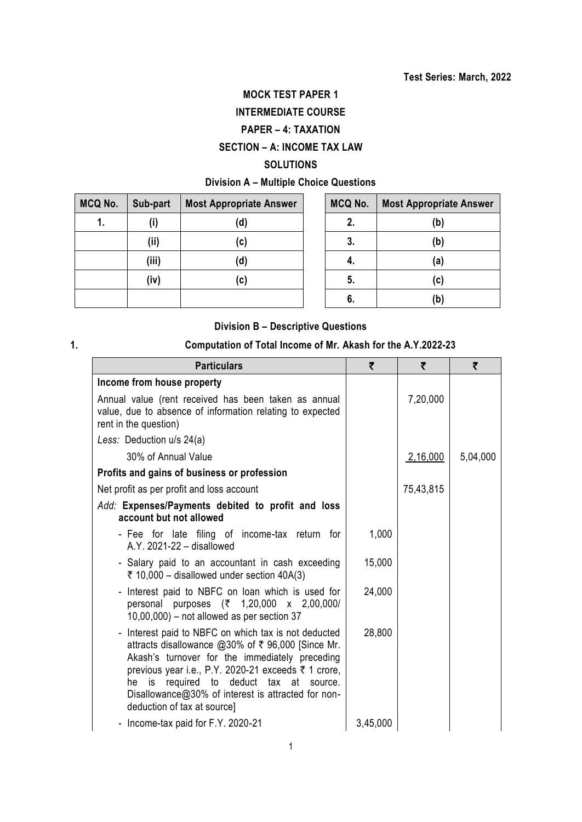# **MOCK TEST PAPER 1**

# **INTERMEDIATE COURSE**

# **PAPER – 4: TAXATION**

# **SECTION – A: INCOME TAX LAW**

### **SOLUTIONS**

# **Division A – Multiple Choice Questions**

| MCQ No. | Sub-part | <b>Most Appropriate Answer</b> | MCQ No. | <b>Most Appropriate Answer</b> |
|---------|----------|--------------------------------|---------|--------------------------------|
| 1.      | (i)      | (d)                            | 2.      | (b)                            |
|         | (ii)     | (c)                            | 3.      | (b)                            |
|         | (iii)    | (d)                            | 4.      | (a)                            |
|         | (iv)     | (c)                            | 5.      | (c)                            |
|         |          |                                | 6.      | (b)                            |

| MCQ No. | <b>Most Appropriate Answer</b> |
|---------|--------------------------------|
| 2.      | (b)                            |
| 3.      | (b)                            |
| 4.      | (a)                            |
| 5.      | (c)                            |
| 6.      | (b)                            |

## **Division B – Descriptive Questions**

# **1. Computation of Total Income of Mr. Akash for the A.Y.2022-23**

| <b>Particulars</b>                                                                                                                                                                                                                                                                                                                                 | ₹        | ₹         | ₹        |
|----------------------------------------------------------------------------------------------------------------------------------------------------------------------------------------------------------------------------------------------------------------------------------------------------------------------------------------------------|----------|-----------|----------|
| Income from house property                                                                                                                                                                                                                                                                                                                         |          |           |          |
| Annual value (rent received has been taken as annual<br>value, due to absence of information relating to expected<br>rent in the question)                                                                                                                                                                                                         |          | 7,20,000  |          |
| Less: Deduction u/s 24(a)                                                                                                                                                                                                                                                                                                                          |          |           |          |
| 30% of Annual Value                                                                                                                                                                                                                                                                                                                                |          | 2,16,000  | 5,04,000 |
| Profits and gains of business or profession                                                                                                                                                                                                                                                                                                        |          |           |          |
| Net profit as per profit and loss account                                                                                                                                                                                                                                                                                                          |          | 75,43,815 |          |
| Add: Expenses/Payments debited to profit and loss<br>account but not allowed                                                                                                                                                                                                                                                                       |          |           |          |
| - Fee for late filing of income-tax return for<br>A.Y. 2021-22 - disallowed                                                                                                                                                                                                                                                                        | 1,000    |           |          |
| - Salary paid to an accountant in cash exceeding<br>₹ 10,000 – disallowed under section $40A(3)$                                                                                                                                                                                                                                                   | 15,000   |           |          |
| - Interest paid to NBFC on loan which is used for<br>personal purposes (₹ 1,20,000 x 2,00,000/<br>$10,00,000$ – not allowed as per section 37                                                                                                                                                                                                      | 24,000   |           |          |
| - Interest paid to NBFC on which tax is not deducted<br>attracts disallowance @30% of ₹ 96,000 [Since Mr.<br>Akash's turnover for the immediately preceding<br>previous year i.e., P.Y. 2020-21 exceeds ₹ 1 crore,<br>he is required to deduct tax at source.<br>Disallowance@30% of interest is attracted for non-<br>deduction of tax at source] | 28,800   |           |          |
| - Income-tax paid for F.Y. 2020-21                                                                                                                                                                                                                                                                                                                 | 3,45,000 |           |          |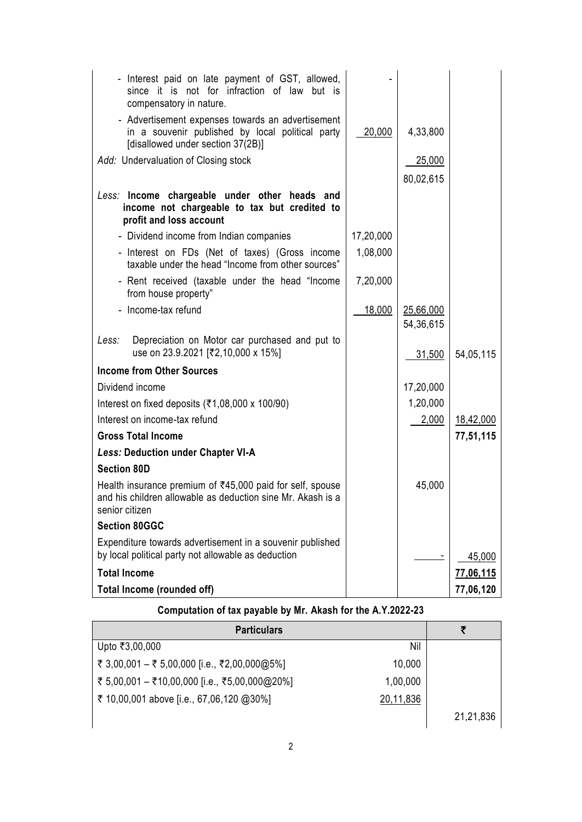| - Interest paid on late payment of GST, allowed,<br>since it is not for infraction of law but is<br>compensatory in nature.                |           |                        |           |
|--------------------------------------------------------------------------------------------------------------------------------------------|-----------|------------------------|-----------|
| - Advertisement expenses towards an advertisement<br>in a souvenir published by local political party<br>[disallowed under section 37(2B)] | 20,000    | 4,33,800               |           |
| Add: Undervaluation of Closing stock                                                                                                       |           | 25,000                 |           |
|                                                                                                                                            |           | 80,02,615              |           |
| Less: Income chargeable under other heads and<br>income not chargeable to tax but credited to<br>profit and loss account                   |           |                        |           |
| - Dividend income from Indian companies                                                                                                    | 17,20,000 |                        |           |
| - Interest on FDs (Net of taxes) (Gross income<br>taxable under the head "Income from other sources"                                       | 1,08,000  |                        |           |
| - Rent received (taxable under the head "Income<br>from house property"                                                                    | 7,20,000  |                        |           |
| - Income-tax refund                                                                                                                        | 18,000    | 25,66,000<br>54,36,615 |           |
| Depreciation on Motor car purchased and put to<br>Less:<br>use on 23.9.2021 [₹2,10,000 x 15%]                                              |           | 31,500                 | 54,05,115 |
| <b>Income from Other Sources</b>                                                                                                           |           |                        |           |
| Dividend income                                                                                                                            |           | 17,20,000              |           |
| Interest on fixed deposits ( $\overline{\xi}$ 1,08,000 x 100/90)                                                                           |           | 1,20,000               |           |
| Interest on income-tax refund                                                                                                              |           | 2,000                  | 18,42,000 |
| <b>Gross Total Income</b>                                                                                                                  |           |                        | 77,51,115 |
| <b>Less: Deduction under Chapter VI-A</b>                                                                                                  |           |                        |           |
| <b>Section 80D</b>                                                                                                                         |           |                        |           |
| Health insurance premium of ₹45,000 paid for self, spouse<br>and his children allowable as deduction sine Mr. Akash is a<br>senior citizen |           | 45,000                 |           |
| <b>Section 80GGC</b>                                                                                                                       |           |                        |           |
| Expenditure towards advertisement in a souvenir published<br>by local political party not allowable as deduction                           |           |                        | 45,000    |
| <b>Total Income</b>                                                                                                                        |           |                        | 77,06,115 |
| Total Income (rounded off)                                                                                                                 |           |                        | 77,06,120 |

# **Computation of tax payable by Mr. Akash for the A.Y.2022-23**

| <b>Particulars</b>                                        |           |
|-----------------------------------------------------------|-----------|
| Nil<br>Upto ₹3,00,000                                     |           |
| ₹ 3,00,001 – ₹ 5,00,000 [i.e., ₹2,00,000@5%]<br>10,000    |           |
| ₹ 5,00,001 - ₹10,00,000 [i.e., ₹5,00,000@20%]<br>1,00,000 |           |
| ₹ 10,00,001 above [i.e., 67,06,120 @30%]<br>20,11,836     |           |
|                                                           | 21,21,836 |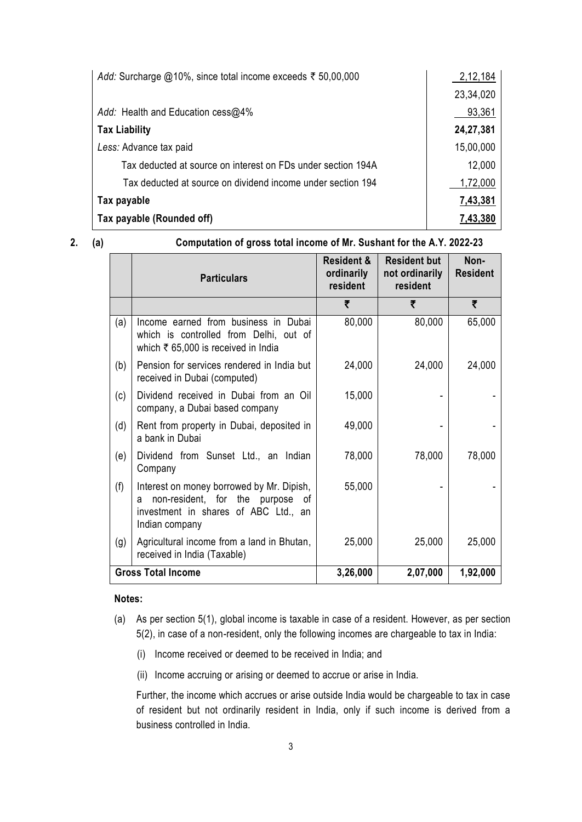| Add: Surcharge @10%, since total income exceeds ₹ 50,00,000  | 2,12,184  |
|--------------------------------------------------------------|-----------|
|                                                              | 23,34,020 |
| Add: Health and Education cess@4%                            | 93,361    |
| <b>Tax Liability</b>                                         | 24,27,381 |
| Less: Advance tax paid                                       | 15,00,000 |
| Tax deducted at source on interest on FDs under section 194A | 12,000    |
| Tax deducted at source on dividend income under section 194  | 1,72,000  |
| Tax payable                                                  | 7,43,381  |
| Tax payable (Rounded off)                                    | 7,43,380  |

**2. (a) Computation of gross total income of Mr. Sushant for the A.Y. 2022-23**

|     | <b>Particulars</b>                                                                                                                           | <b>Resident &amp;</b><br>ordinarily<br>resident | <b>Resident but</b><br>not ordinarily<br>resident | Non-<br><b>Resident</b> |
|-----|----------------------------------------------------------------------------------------------------------------------------------------------|-------------------------------------------------|---------------------------------------------------|-------------------------|
|     |                                                                                                                                              | ₹                                               | ₹                                                 | ₹                       |
| (a) | Income earned from business in Dubai<br>which is controlled from Delhi, out of<br>which $\bar{\tau}$ 65,000 is received in India             | 80,000                                          | 80,000                                            | 65,000                  |
| (b) | Pension for services rendered in India but<br>received in Dubai (computed)                                                                   | 24,000                                          | 24,000                                            | 24,000                  |
| (c) | Dividend received in Dubai from an Oil<br>company, a Dubai based company                                                                     | 15,000                                          |                                                   |                         |
| (d) | Rent from property in Dubai, deposited in<br>a bank in Dubai                                                                                 | 49,000                                          |                                                   |                         |
| (e) | Dividend from Sunset Ltd., an Indian<br>Company                                                                                              | 78,000                                          | 78,000                                            | 78,000                  |
| (f) | Interest on money borrowed by Mr. Dipish,<br>non-resident, for the purpose of<br>a<br>investment in shares of ABC Ltd., an<br>Indian company | 55,000                                          |                                                   |                         |
| (g) | Agricultural income from a land in Bhutan,<br>received in India (Taxable)                                                                    | 25,000                                          | 25,000                                            | 25,000                  |
|     | <b>Gross Total Income</b>                                                                                                                    | 3,26,000                                        | 2,07,000                                          | 1,92,000                |

### **Notes:**

- (a) As per section 5(1), global income is taxable in case of a resident. However, as per section 5(2), in case of a non-resident, only the following incomes are chargeable to tax in India:
	- (i) Income received or deemed to be received in India; and
	- (ii) Income accruing or arising or deemed to accrue or arise in India.

Further, the income which accrues or arise outside India would be chargeable to tax in case of resident but not ordinarily resident in India, only if such income is derived from a business controlled in India.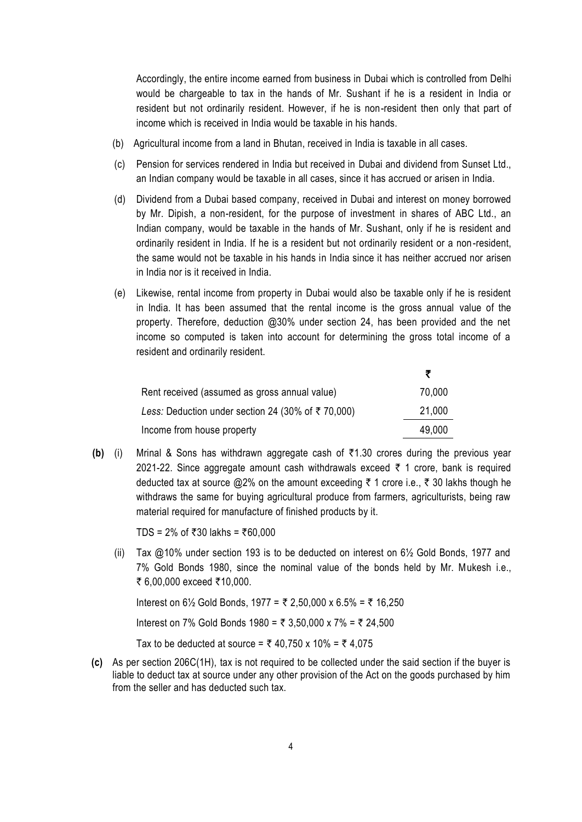Accordingly, the entire income earned from business in Dubai which is controlled from Delhi would be chargeable to tax in the hands of Mr. Sushant if he is a resident in India or resident but not ordinarily resident. However, if he is non-resident then only that part of income which is received in India would be taxable in his hands.

- (b) Agricultural income from a land in Bhutan, received in India is taxable in all cases.
- (c) Pension for services rendered in India but received in Dubai and dividend from Sunset Ltd., an Indian company would be taxable in all cases, since it has accrued or arisen in India.
- (d) Dividend from a Dubai based company, received in Dubai and interest on money borrowed by Mr. Dipish, a non-resident, for the purpose of investment in shares of ABC Ltd., an Indian company, would be taxable in the hands of Mr. Sushant, only if he is resident and ordinarily resident in India. If he is a resident but not ordinarily resident or a non-resident, the same would not be taxable in his hands in India since it has neither accrued nor arisen in India nor is it received in India.
- (e) Likewise, rental income from property in Dubai would also be taxable only if he is resident in India. It has been assumed that the rental income is the gross annual value of the property. Therefore, deduction @30% under section 24, has been provided and the net income so computed is taken into account for determining the gross total income of a resident and ordinarily resident.

| Rent received (assumed as gross annual value)                 | 70,000 |
|---------------------------------------------------------------|--------|
| Less: Deduction under section 24 (30% of $\bar{\tau}$ 70,000) | 21,000 |
| Income from house property                                    | 49,000 |

**(b)** (i) Mrinal & Sons has withdrawn aggregate cash of `1.30 crores during the previous year 2021-22. Since aggregate amount cash withdrawals exceed  $\bar{\tau}$  1 crore, bank is required deducted tax at source  $@2\%$  on the amount exceeding  $\bar{\tau}$  1 crore i.e.,  $\bar{\tau}$  30 lakhs though he withdraws the same for buying agricultural produce from farmers, agriculturists, being raw material required for manufacture of finished products by it.

TDS =  $2\%$  of ₹30 lakhs = ₹60,000

(ii) Tax  $@10\%$  under section 193 is to be deducted on interest on  $6\frac{1}{2}$  Gold Bonds, 1977 and 7% Gold Bonds 1980, since the nominal value of the bonds held by Mr. Mukesh i.e., ₹ 6,00,000 exceed ₹10,000.

Interest on 6½ Gold Bonds, 1977 = ₹ 2,50,000 x 6.5% = ₹ 16,250

Interest on 7% Gold Bonds 1980 = ₹ 3,50,000 x 7% = ₹ 24.500

Tax to be deducted at source =  $\bar{\tau}$  40,750 x 10% =  $\bar{\tau}$  4,075

**(c)** As per section 206C(1H), tax is not required to be collected under the said section if the buyer is liable to deduct tax at source under any other provision of the Act on the goods purchased by him from the seller and has deducted such tax.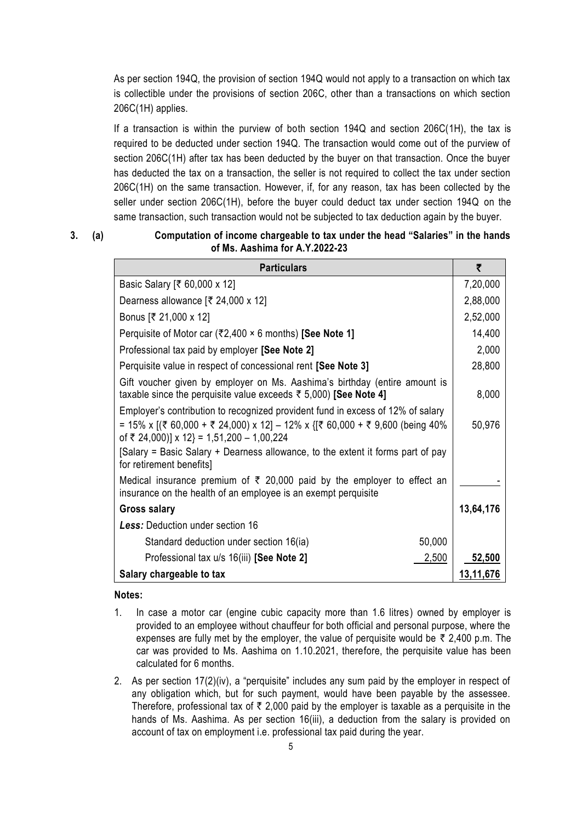As per section 194Q, the provision of section 194Q would not apply to a transaction on which tax is collectible under the provisions of section 206C, other than a transactions on which section 206C(1H) applies.

If a transaction is within the purview of both section 194Q and section 206C(1H), the tax is required to be deducted under section 194Q. The transaction would come out of the purview of section 206C(1H) after tax has been deducted by the buyer on that transaction. Once the buyer has deducted the tax on a transaction, the seller is not required to collect the tax under section 206C(1H) on the same transaction. However, if, for any reason, tax has been collected by the seller under section 206C(1H), before the buyer could deduct tax under section 194Q on the same transaction, such transaction would not be subjected to tax deduction again by the buyer.

### **3. (a) Computation of income chargeable to tax under the head "Salaries" in the hands of Ms. Aashima for A.Y.2022-23**

| <b>Particulars</b>                                                                                                                                                                                                                                                                              | ₹         |
|-------------------------------------------------------------------------------------------------------------------------------------------------------------------------------------------------------------------------------------------------------------------------------------------------|-----------|
| Basic Salary [₹ 60,000 x 12]                                                                                                                                                                                                                                                                    | 7,20,000  |
| Dearness allowance $[\overline{\mathfrak{F}} 24,000 \times 12]$                                                                                                                                                                                                                                 | 2,88,000  |
| Bonus [₹ 21,000 x 12]                                                                                                                                                                                                                                                                           | 2,52,000  |
| Perquisite of Motor car (₹2,400 $\times$ 6 months) [See Note 1]                                                                                                                                                                                                                                 | 14,400    |
| Professional tax paid by employer [See Note 2]                                                                                                                                                                                                                                                  | 2,000     |
| Perquisite value in respect of concessional rent [See Note 3]                                                                                                                                                                                                                                   | 28,800    |
| Gift voucher given by employer on Ms. Aashima's birthday (entire amount is<br>taxable since the perquisite value exceeds $\bar{\tau}$ 5,000) [See Note 4]                                                                                                                                       | 8,000     |
| Employer's contribution to recognized provident fund in excess of 12% of salary<br>= 15% x [(₹ 60,000 + ₹ 24,000) x 12] - 12% x {[₹ 60,000 + ₹ 9,600 (being 40%<br>of ₹ 24,000)] x 12} = 1,51,200 - 1,00,224<br>[Salary = Basic Salary + Dearness allowance, to the extent it forms part of pay | 50,976    |
| for retirement benefits]                                                                                                                                                                                                                                                                        |           |
| Medical insurance premium of $\bar{\tau}$ 20,000 paid by the employer to effect an<br>insurance on the health of an employee is an exempt perquisite                                                                                                                                            |           |
| <b>Gross salary</b>                                                                                                                                                                                                                                                                             | 13,64,176 |
| <b>Less:</b> Deduction under section 16                                                                                                                                                                                                                                                         |           |
| 50,000<br>Standard deduction under section 16(ia)                                                                                                                                                                                                                                               |           |
| 2,500<br>Professional tax u/s 16(iii) [See Note 2]                                                                                                                                                                                                                                              | 52,500    |
| Salary chargeable to tax                                                                                                                                                                                                                                                                        | 13,11,676 |

#### **Notes:**

- 1. In case a motor car (engine cubic capacity more than 1.6 litres) owned by employer is provided to an employee without chauffeur for both official and personal purpose, where the expenses are fully met by the employer, the value of perquisite would be  $\bar{\tau}$  2,400 p.m. The car was provided to Ms. Aashima on 1.10.2021, therefore, the perquisite value has been calculated for 6 months.
- 2. As per section 17(2)(iv), a "perquisite" includes any sum paid by the employer in respect of any obligation which, but for such payment, would have been payable by the assessee. Therefore, professional tax of  $\bar{\tau}$  2,000 paid by the employer is taxable as a perquisite in the hands of Ms. Aashima. As per section 16(iii), a deduction from the salary is provided on account of tax on employment i.e. professional tax paid during the year.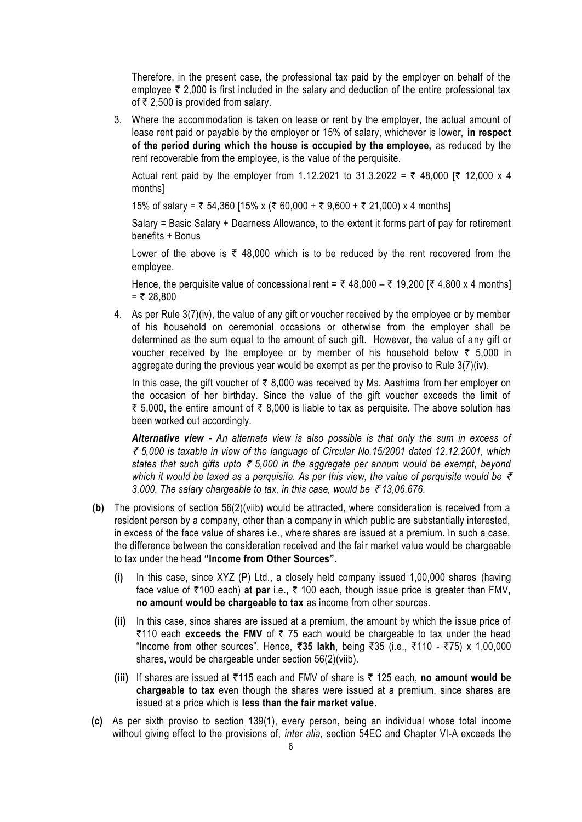Therefore, in the present case, the professional tax paid by the employer on behalf of the employee  $\bar{\tau}$  2,000 is first included in the salary and deduction of the entire professional tax of  $\bar{\tau}$  2.500 is provided from salary.

3. Where the accommodation is taken on lease or rent by the employer, the actual amount of lease rent paid or payable by the employer or 15% of salary, whichever is lower, **in respect of the period during which the house is occupied by the employee,** as reduced by the rent recoverable from the employee, is the value of the perquisite.

Actual rent paid by the employer from 1.12.2021 to 31.3.2022 =  $\bar{\tau}$  48,000 [ $\bar{\tau}$  12,000 x 4 months]

15% of salary =  $\overline{\zeta}$  54,360 [15% x ( $\overline{\zeta}$  60,000 +  $\overline{\zeta}$  9,600 +  $\overline{\zeta}$  21,000) x 4 months]

Salary = Basic Salary + Dearness Allowance, to the extent it forms part of pay for retirement benefits + Bonus

Lower of the above is  $\overline{\tau}$  48,000 which is to be reduced by the rent recovered from the employee.

Hence, the perquisite value of concessional rent =  $\bar{\tau}$  48,000 –  $\bar{\tau}$  19,200 [ $\bar{\tau}$  4,800 x 4 months]  $=$  ₹ 28,800

4. As per Rule 3(7)(iv), the value of any gift or voucher received by the employee or by member of his household on ceremonial occasions or otherwise from the employer shall be determined as the sum equal to the amount of such gift. However, the value of any gift or voucher received by the employee or by member of his household below  $\bar{\tau}$  5,000 in aggregate during the previous year would be exempt as per the proviso to Rule 3(7)(iv).

In this case, the gift voucher of  $\bar{\tau}$  8,000 was received by Ms. Aashima from her employer on the occasion of her birthday. Since the value of the gift voucher exceeds the limit of ₹ 5,000, the entire amount of ₹ 8,000 is liable to tax as perquisite. The above solution has been worked out accordingly.

*Alternative view - An alternate view is also possible is that only the sum in excess of*  ` *5,000 is taxable in view of the language of Circular No.15/2001 dated 12.12.2001, which states that such gifts upto*  $\bar{\tau}$  *5,000 in the aggregate per annum would be exempt, beyond* which it would be taxed as a perquisite. As per this view, the value of perquisite would be  $\bar{\tau}$ 3,000. The salary chargeable to tax, in this case, would be  $\bar{\tau}$  13,06,676.

- **(b)** The provisions of section 56(2)(viib) would be attracted, where consideration is received from a resident person by a company, other than a company in which public are substantially interested, in excess of the face value of shares i.e., where shares are issued at a premium. In such a case, the difference between the consideration received and the fair market value would be chargeable to tax under the head **"Income from Other Sources".**
	- **(i)** In this case, since XYZ (P) Ltd., a closely held company issued 1,00,000 shares (having face value of ₹100 each) at par i.e., ₹ 100 each, though issue price is greater than FMV, **no amount would be chargeable to tax** as income from other sources.
	- **(ii)** In this case, since shares are issued at a premium, the amount by which the issue price of  $\overline{\zeta}$ 110 each exceeds the FMV of  $\overline{\zeta}$  75 each would be chargeable to tax under the head "Income from other sources". Hence, ₹35 lakh, being ₹35 (i.e., ₹110 - ₹75) x 1,00,000 shares, would be chargeable under section 56(2)(viib).
	- **(iii)** If shares are issued at `115 each and FMV of share is ` 125 each, **no amount would be chargeable to tax** even though the shares were issued at a premium, since shares are issued at a price which is **less than the fair market value**.
- **(c)** As per sixth proviso to section 139(1), every person, being an individual whose total income without giving effect to the provisions of, *inter alia,* section 54EC and Chapter VI-A exceeds the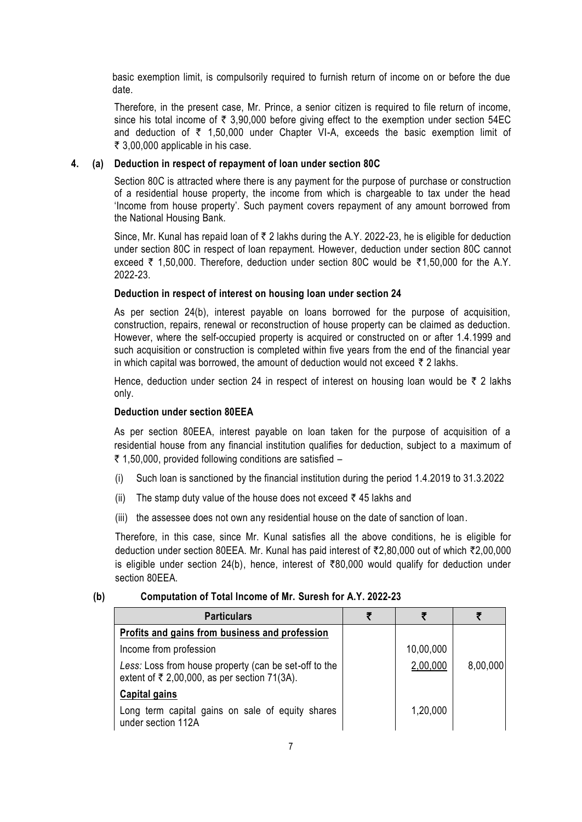basic exemption limit, is compulsorily required to furnish return of income on or before the due date.

Therefore, in the present case, Mr. Prince, a senior citizen is required to file return of income, since his total income of  $\bar{\tau}$  3,90,000 before giving effect to the exemption under section 54EC and deduction of  $\bar{\tau}$  1,50,000 under Chapter VI-A, exceeds the basic exemption limit of  $\bar{\tau}$  3,00,000 applicable in his case.

### **4. (a) Deduction in respect of repayment of loan under section 80C**

Section 80C is attracted where there is any payment for the purpose of purchase or construction of a residential house property, the income from which is chargeable to tax under the head 'Income from house property'. Such payment covers repayment of any amount borrowed from the National Housing Bank.

Since, Mr. Kunal has repaid loan of  $\bar{\tau}$  2 lakhs during the A.Y. 2022-23, he is eligible for deduction under section 80C in respect of loan repayment. However, deduction under section 80C cannot exceed  $\bar{\tau}$  1,50,000. Therefore, deduction under section 80C would be  $\bar{\tau}$ 1,50,000 for the A.Y. 2022-23.

#### **Deduction in respect of interest on housing loan under section 24**

As per section 24(b), interest payable on loans borrowed for the purpose of acquisition, construction, repairs, renewal or reconstruction of house property can be claimed as deduction. However, where the self-occupied property is acquired or constructed on or after 1.4.1999 and such acquisition or construction is completed within five years from the end of the financial year in which capital was borrowed, the amount of deduction would not exceed  $\bar{\tau}$  2 lakhs.

Hence, deduction under section 24 in respect of interest on housing loan would be  $\bar{\tau}$  2 lakhs only.

#### **Deduction under section 80EEA**

As per section 80EEA, interest payable on loan taken for the purpose of acquisition of a residential house from any financial institution qualifies for deduction, subject to a maximum of ₹ 1,50,000, provided following conditions are satisfied –

- (i) Such loan is sanctioned by the financial institution during the period 1.4.2019 to 31.3.2022
- (ii) The stamp duty value of the house does not exceed  $\bar{\tau}$  45 lakhs and
- (iii) the assessee does not own any residential house on the date of sanction of loan.

Therefore, in this case, since Mr. Kunal satisfies all the above conditions, he is eligible for deduction under section 80EEA. Mr. Kunal has paid interest of `2,80,000 out of which `2,00,000 is eligible under section 24(b), hence, interest of  $\overline{80,000}$  would qualify for deduction under section 80EEA.

#### **(b) Computation of Total Income of Mr. Suresh for A.Y. 2022-23**

| <b>Particulars</b>                                                                                                   |           |          |
|----------------------------------------------------------------------------------------------------------------------|-----------|----------|
| Profits and gains from business and profession                                                                       |           |          |
| Income from profession                                                                                               | 10,00,000 |          |
| Less: Loss from house property (can be set-off to the<br>extent of $\overline{\xi}$ 2,00,000, as per section 71(3A). | 2,00,000  | 8,00,000 |
| <b>Capital gains</b>                                                                                                 |           |          |
| Long term capital gains on sale of equity shares<br>under section 112A                                               | 1,20,000  |          |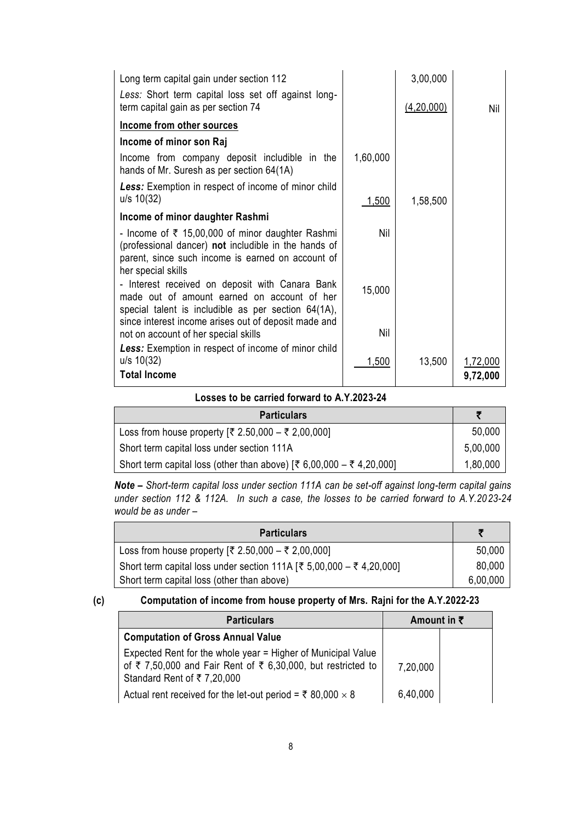| Long term capital gain under section 112                                                                                                                                                                      |            | 3,00,000   |                      |
|---------------------------------------------------------------------------------------------------------------------------------------------------------------------------------------------------------------|------------|------------|----------------------|
| Less: Short term capital loss set off against long-<br>term capital gain as per section 74                                                                                                                    |            | (4,20,000) | Nil                  |
| Income from other sources                                                                                                                                                                                     |            |            |                      |
| Income of minor son Raj                                                                                                                                                                                       |            |            |                      |
| Income from company deposit includible in the<br>hands of Mr. Suresh as per section 64(1A)                                                                                                                    | 1,60,000   |            |                      |
| Less: Exemption in respect of income of minor child<br>$u/s$ 10(32)                                                                                                                                           | 1,500      | 1,58,500   |                      |
| Income of minor daughter Rashmi                                                                                                                                                                               |            |            |                      |
| - Income of $\bar{\tau}$ 15,00,000 of minor daughter Rashmi<br>(professional dancer) not includible in the hands of<br>parent, since such income is earned on account of<br>her special skills                | <b>Nil</b> |            |                      |
| - Interest received on deposit with Canara Bank<br>made out of amount earned on account of her<br>special talent is includible as per section 64(1A),<br>since interest income arises out of deposit made and | 15,000     |            |                      |
| not on account of her special skills                                                                                                                                                                          | Nil        |            |                      |
| Less: Exemption in respect of income of minor child<br>$u/s$ 10(32)<br><b>Total Income</b>                                                                                                                    | 1,500      | 13,500     | 1,72,000<br>9,72,000 |

#### **Losses to be carried forward to A.Y.2023-24**

| <b>Particulars</b>                                                   |          |
|----------------------------------------------------------------------|----------|
| Loss from house property $[₹ 2.50,000 - ₹ 2,00,000]$                 | 50,000   |
| Short term capital loss under section 111A                           | 5,00,000 |
| Short term capital loss (other than above) [₹ 6,00,000 – ₹ 4,20,000] | 1,80,000 |

*Note – Short-term capital loss under section 111A can be set-off against long-term capital gains under section 112 & 112A. In such a case, the losses to be carried forward to A.Y.20 23-24 would be as under –*

| <b>Particulars</b>                                                   |          |
|----------------------------------------------------------------------|----------|
| Loss from house property [₹ 2.50,000 – ₹ 2,00,000]                   | 50,000   |
| Short term capital loss under section 111A [₹ 5,00,000 – ₹ 4,20,000] | 80,000   |
| Short term capital loss (other than above)                           | 6,00,000 |

### **(c) Computation of income from house property of Mrs. Rajni for the A.Y.2022-23**

| <b>Particulars</b>                                                                                                                                                                       | Amount in $\bar{\tau}$ |  |
|------------------------------------------------------------------------------------------------------------------------------------------------------------------------------------------|------------------------|--|
| <b>Computation of Gross Annual Value</b>                                                                                                                                                 |                        |  |
| Expected Rent for the whole year = Higher of Municipal Value<br>of $\overline{\xi}$ 7,50,000 and Fair Rent of $\overline{\xi}$ 6,30,000, but restricted to<br>Standard Rent of ₹7,20,000 | 7,20,000               |  |
| Actual rent received for the let-out period = $\overline{z}$ 80,000 $\times$ 8                                                                                                           | 6,40,000               |  |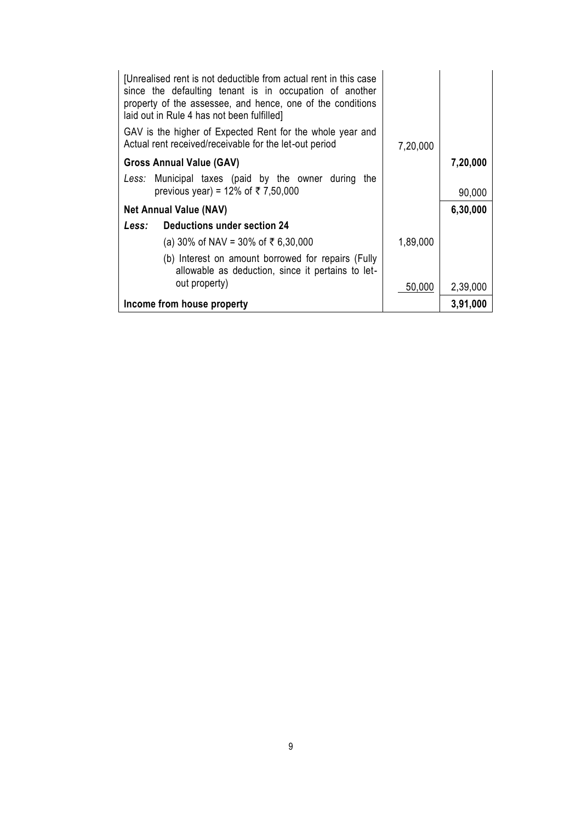| [Unrealised rent is not deductible from actual rent in this case<br>since the defaulting tenant is in occupation of another<br>property of the assessee, and hence, one of the conditions<br>laid out in Rule 4 has not been fulfilled] |          |          |
|-----------------------------------------------------------------------------------------------------------------------------------------------------------------------------------------------------------------------------------------|----------|----------|
| GAV is the higher of Expected Rent for the whole year and<br>Actual rent received/receivable for the let-out period                                                                                                                     | 7,20,000 |          |
| <b>Gross Annual Value (GAV)</b>                                                                                                                                                                                                         |          | 7,20,000 |
| Less: Municipal taxes (paid by the owner during the<br>previous year) = 12% of ₹7,50,000                                                                                                                                                |          | 90,000   |
| <b>Net Annual Value (NAV)</b>                                                                                                                                                                                                           |          | 6,30,000 |
| Less: Deductions under section 24                                                                                                                                                                                                       |          |          |
| (a) 30% of NAV = 30% of ₹ 6,30,000                                                                                                                                                                                                      | 1,89,000 |          |
| (b) Interest on amount borrowed for repairs (Fully<br>allowable as deduction, since it pertains to let-                                                                                                                                 |          |          |
| out property)                                                                                                                                                                                                                           | 50,000   | 2,39,000 |
| Income from house property                                                                                                                                                                                                              |          | 3,91,000 |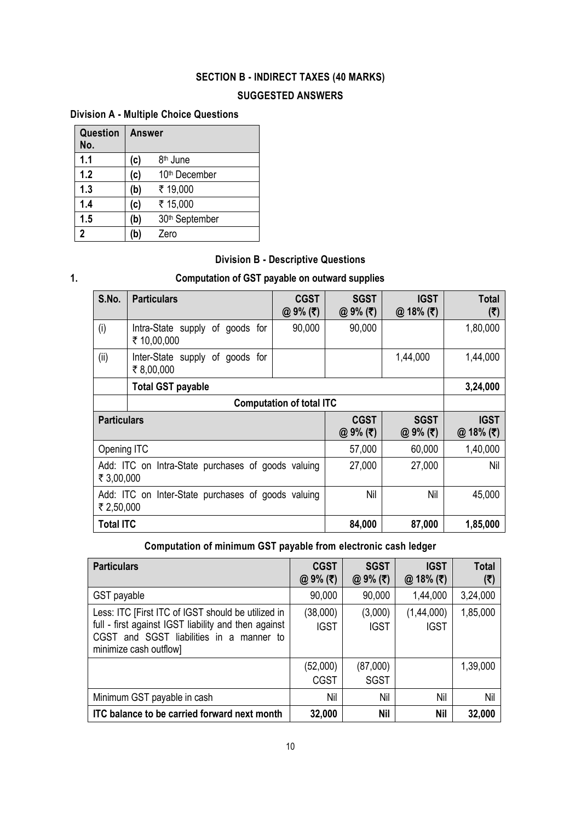# **SECTION B - INDIRECT TAXES (40 MARKS)**

## **SUGGESTED ANSWERS**

# **Division A - Multiple Choice Questions**

| Question<br>No. | Answer |                            |
|-----------------|--------|----------------------------|
| 1.1             | (c)    | 8 <sup>th</sup> June       |
| 1.2             | (c)    | 10 <sup>th</sup> December  |
| 1.3             | (b)    | ₹ 19,000                   |
| 1.4             | (c)    | ₹ 15,000                   |
| 1.5             | (b)    | 30 <sup>th</sup> September |
| $\overline{2}$  | (b)    | Zero                       |

# **Division B - Descriptive Questions**

# **1. Computation of GST payable on outward supplies**

| S.No.                                                            | <b>Particulars</b>                             | <b>CGST</b><br>@ 9% (₹) | <b>SGST</b><br>@ $9%$ (₹) | <b>IGST</b><br>$@18%$ (₹) | Total<br>(₹)                       |
|------------------------------------------------------------------|------------------------------------------------|-------------------------|---------------------------|---------------------------|------------------------------------|
| (i)                                                              | Intra-State supply of goods for<br>₹ 10,00,000 | 90,000                  | 90,000                    |                           | 1,80,000                           |
| (ii)                                                             | Inter-State supply of goods for<br>₹8,00,000   |                         |                           | 1,44,000                  | 1,44,000                           |
|                                                                  | <b>Total GST payable</b>                       |                         |                           |                           | 3,24,000                           |
| <b>Computation of total ITC</b>                                  |                                                |                         |                           |                           |                                    |
| <b>Particulars</b>                                               |                                                |                         | <b>CGST</b><br>@ $9%$ (₹) | <b>SGST</b><br>@ $9%$ (₹) | <b>IGST</b><br>18% (₹)<br>$\omega$ |
| Opening ITC                                                      |                                                |                         | 57,000                    | 60,000                    | 1,40,000                           |
| Add: ITC on Intra-State purchases of goods valuing<br>₹ 3,00,000 |                                                |                         | 27,000                    | 27,000                    | Nil                                |
| Add: ITC on Inter-State purchases of goods valuing<br>₹ 2,50,000 |                                                |                         | Nil                       | Nil                       | 45,000                             |
| <b>Total ITC</b>                                                 |                                                | 84,000                  | 87,000                    | 1,85,000                  |                                    |

# **Computation of minimum GST payable from electronic cash ledger**

| <b>Particulars</b>                                                                                                                                                               | <b>CGST</b><br>@ 9% (₹) | <b>SGST</b><br>@ 9% (₹) | <b>IGST</b><br>@ 18% (₹)  | <b>Total</b><br>(5) |
|----------------------------------------------------------------------------------------------------------------------------------------------------------------------------------|-------------------------|-------------------------|---------------------------|---------------------|
| GST payable                                                                                                                                                                      | 90,000                  | 90,000                  | 1,44,000                  | 3,24,000            |
| Less: ITC [First ITC of IGST should be utilized in<br>full - first against IGST liability and then against<br>CGST and SGST liabilities in a manner to<br>minimize cash outflow] | (38,000)<br><b>IGST</b> | (3,000)<br><b>IGST</b>  | (1,44,000)<br><b>IGST</b> | 1,85,000            |
|                                                                                                                                                                                  | (52,000)<br><b>CGST</b> | (87,000)<br><b>SGST</b> |                           | 1,39,000            |
| Minimum GST payable in cash                                                                                                                                                      | Nil                     | Nil                     | Nil                       | Nil                 |
| ITC balance to be carried forward next month                                                                                                                                     | 32,000                  | <b>Nil</b>              | <b>Nil</b>                | 32,000              |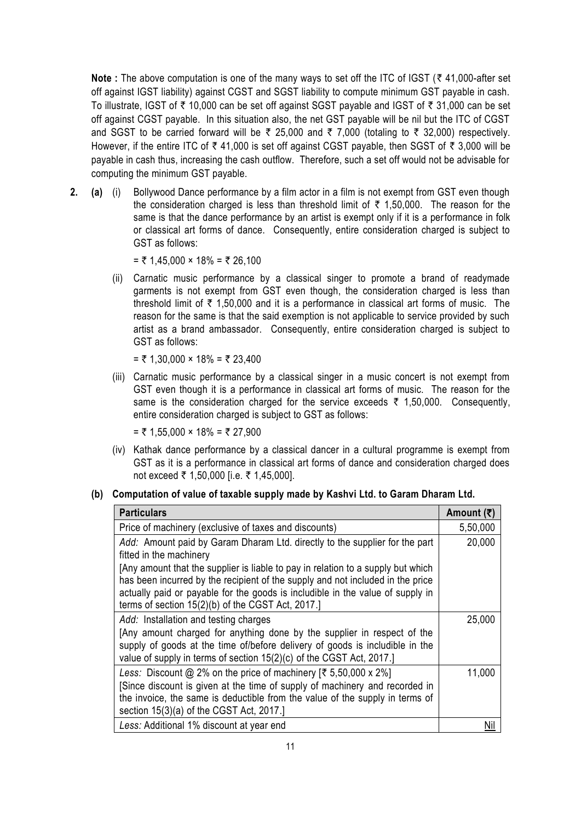**Note :** The above computation is one of the many ways to set off the ITC of IGST ( $\bar{\tau}$  41,000-after set off against IGST liability) against CGST and SGST liability to compute minimum GST payable in cash. To illustrate, IGST of  $\bar{\tau}$  10,000 can be set off against SGST payable and IGST of  $\bar{\tau}$  31,000 can be set off against CGST payable. In this situation also, the net GST payable will be nil but the ITC of CGST and SGST to be carried forward will be  $\bar{\tau}$  25,000 and  $\bar{\tau}$  7,000 (totaling to  $\bar{\tau}$  32,000) respectively. However, if the entire ITC of  $\bar{\tau}$  41,000 is set off against CGST payable, then SGST of  $\bar{\tau}$  3,000 will be payable in cash thus, increasing the cash outflow. Therefore, such a set off would not be advisable for computing the minimum GST payable.

**2. (a)** (i) Bollywood Dance performance by a film actor in a film is not exempt from GST even though the consideration charged is less than threshold limit of  $\bar{\tau}$  1,50,000. The reason for the same is that the dance performance by an artist is exempt only if it is a performance in folk or classical art forms of dance. Consequently, entire consideration charged is subject to GST as follows:

= ₹ 1,45,000 × 18% = ₹ 26,100

(ii) Carnatic music performance by a classical singer to promote a brand of readymade garments is not exempt from GST even though, the consideration charged is less than threshold limit of  $\bar{\tau}$  1,50,000 and it is a performance in classical art forms of music. The reason for the same is that the said exemption is not applicable to service provided by such artist as a brand ambassador. Consequently, entire consideration charged is subject to GST as follows:

 $=$  ₹ 1,30,000  $\times$  18% = ₹ 23,400

(iii) Carnatic music performance by a classical singer in a music concert is not exempt from GST even though it is a performance in classical art forms of music. The reason for the same is the consideration charged for the service exceeds  $\bar{\tau}$  1,50,000. Consequently, entire consideration charged is subject to GST as follows:

 $=$  ₹ 1,55,000  $\times$  18% = ₹ 27,900

(iv) Kathak dance performance by a classical dancer in a cultural programme is exempt from GST as it is a performance in classical art forms of dance and consideration charged does not exceed ₹ 1,50,000 [i.e. ₹ 1,45,000].

#### **(b) Computation of value of taxable supply made by Kashvi Ltd. to Garam Dharam Ltd.**

| <b>Particulars</b>                                                                                                                                                                                                                                                                                        | Amount (そ) |
|-----------------------------------------------------------------------------------------------------------------------------------------------------------------------------------------------------------------------------------------------------------------------------------------------------------|------------|
| Price of machinery (exclusive of taxes and discounts)                                                                                                                                                                                                                                                     | 5,50,000   |
| Add: Amount paid by Garam Dharam Ltd. directly to the supplier for the part<br>fitted in the machinery                                                                                                                                                                                                    | 20,000     |
| [Any amount that the supplier is liable to pay in relation to a supply but which<br>has been incurred by the recipient of the supply and not included in the price<br>actually paid or payable for the goods is includible in the value of supply in<br>terms of section 15(2)(b) of the CGST Act, 2017.] |            |
| Add: Installation and testing charges<br>[Any amount charged for anything done by the supplier in respect of the<br>supply of goods at the time of/before delivery of goods is includible in the<br>value of supply in terms of section 15(2)(c) of the CGST Act, 2017.]                                  | 25,000     |
| Less: Discount @ 2% on the price of machinery $\lbrack \xi \xi, 50,000 \times 2\% \rbrack$<br>Since discount is given at the time of supply of machinery and recorded in<br>the invoice, the same is deductible from the value of the supply in terms of<br>section 15(3)(a) of the CGST Act, 2017.]      | 11,000     |
| Less: Additional 1% discount at year end                                                                                                                                                                                                                                                                  | Nil        |